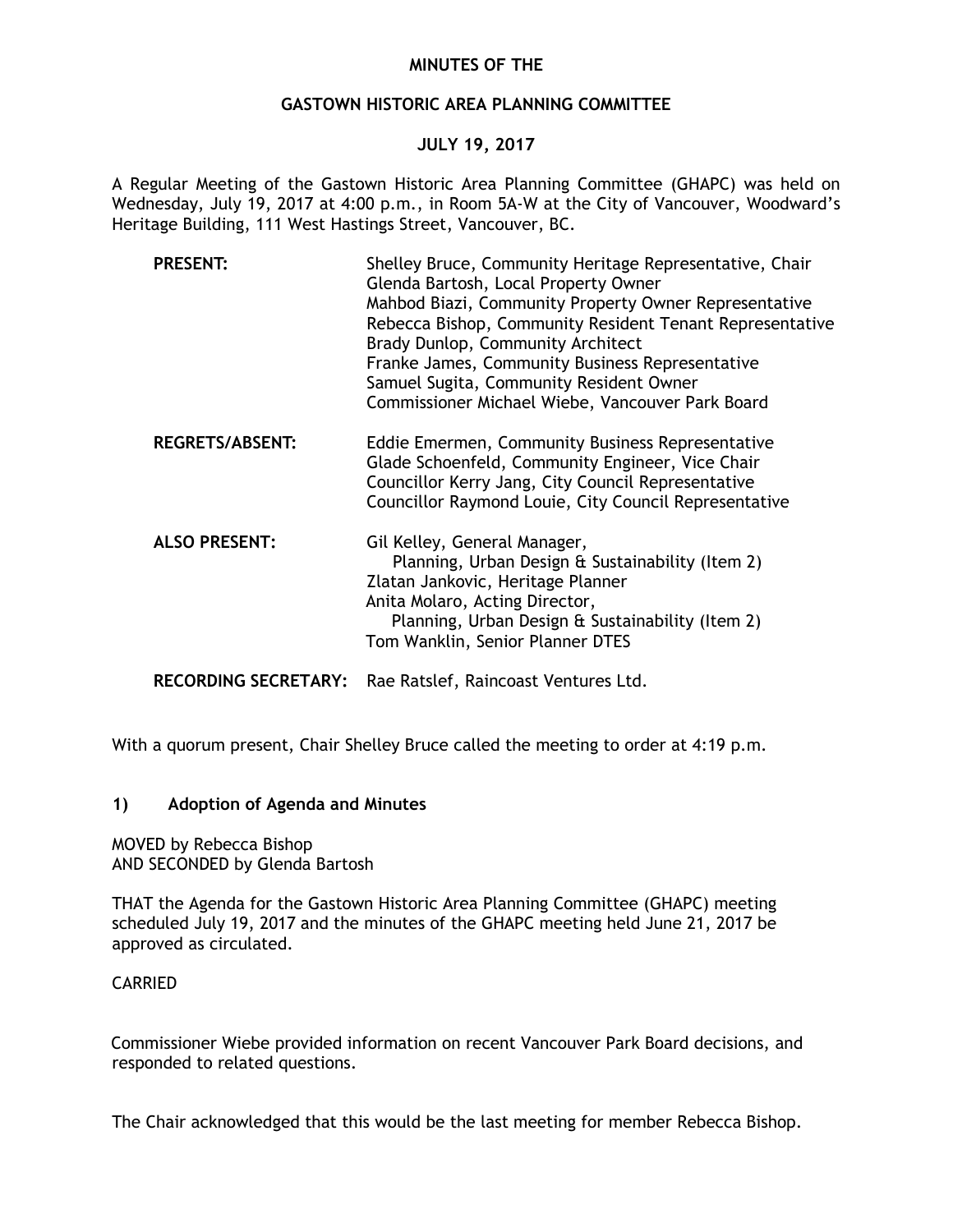# **MINUTES OF THE**

## **GASTOWN HISTORIC AREA PLANNING COMMITTEE**

# **JULY 19, 2017**

A Regular Meeting of the Gastown Historic Area Planning Committee (GHAPC) was held on Wednesday, July 19, 2017 at 4:00 p.m., in Room 5A-W at the City of Vancouver, Woodward's Heritage Building, 111 West Hastings Street, Vancouver, BC.

| <b>PRESENT:</b>             | Shelley Bruce, Community Heritage Representative, Chair<br>Glenda Bartosh, Local Property Owner<br>Mahbod Biazi, Community Property Owner Representative<br>Rebecca Bishop, Community Resident Tenant Representative<br>Brady Dunlop, Community Architect<br>Franke James, Community Business Representative<br>Samuel Sugita, Community Resident Owner<br>Commissioner Michael Wiebe, Vancouver Park Board |
|-----------------------------|-------------------------------------------------------------------------------------------------------------------------------------------------------------------------------------------------------------------------------------------------------------------------------------------------------------------------------------------------------------------------------------------------------------|
| <b>REGRETS/ABSENT:</b>      | Eddie Emermen, Community Business Representative<br>Glade Schoenfeld, Community Engineer, Vice Chair<br>Councillor Kerry Jang, City Council Representative<br>Councillor Raymond Louie, City Council Representative                                                                                                                                                                                         |
| <b>ALSO PRESENT:</b>        | Gil Kelley, General Manager,<br>Planning, Urban Design & Sustainability (Item 2)<br>Zlatan Jankovic, Heritage Planner<br>Anita Molaro, Acting Director,<br>Planning, Urban Design & Sustainability (Item 2)<br>Tom Wanklin, Senior Planner DTES                                                                                                                                                             |
| <b>RECORDING SECRETARY:</b> | Rae Ratslef, Raincoast Ventures Ltd.                                                                                                                                                                                                                                                                                                                                                                        |

With a quorum present, Chair Shelley Bruce called the meeting to order at 4:19 p.m.

### **1) Adoption of Agenda and Minutes**

MOVED by Rebecca Bishop AND SECONDED by Glenda Bartosh

THAT the Agenda for the Gastown Historic Area Planning Committee (GHAPC) meeting scheduled July 19, 2017 and the minutes of the GHAPC meeting held June 21, 2017 be approved as circulated.

### CARRIED

Commissioner Wiebe provided information on recent Vancouver Park Board decisions, and responded to related questions.

The Chair acknowledged that this would be the last meeting for member Rebecca Bishop.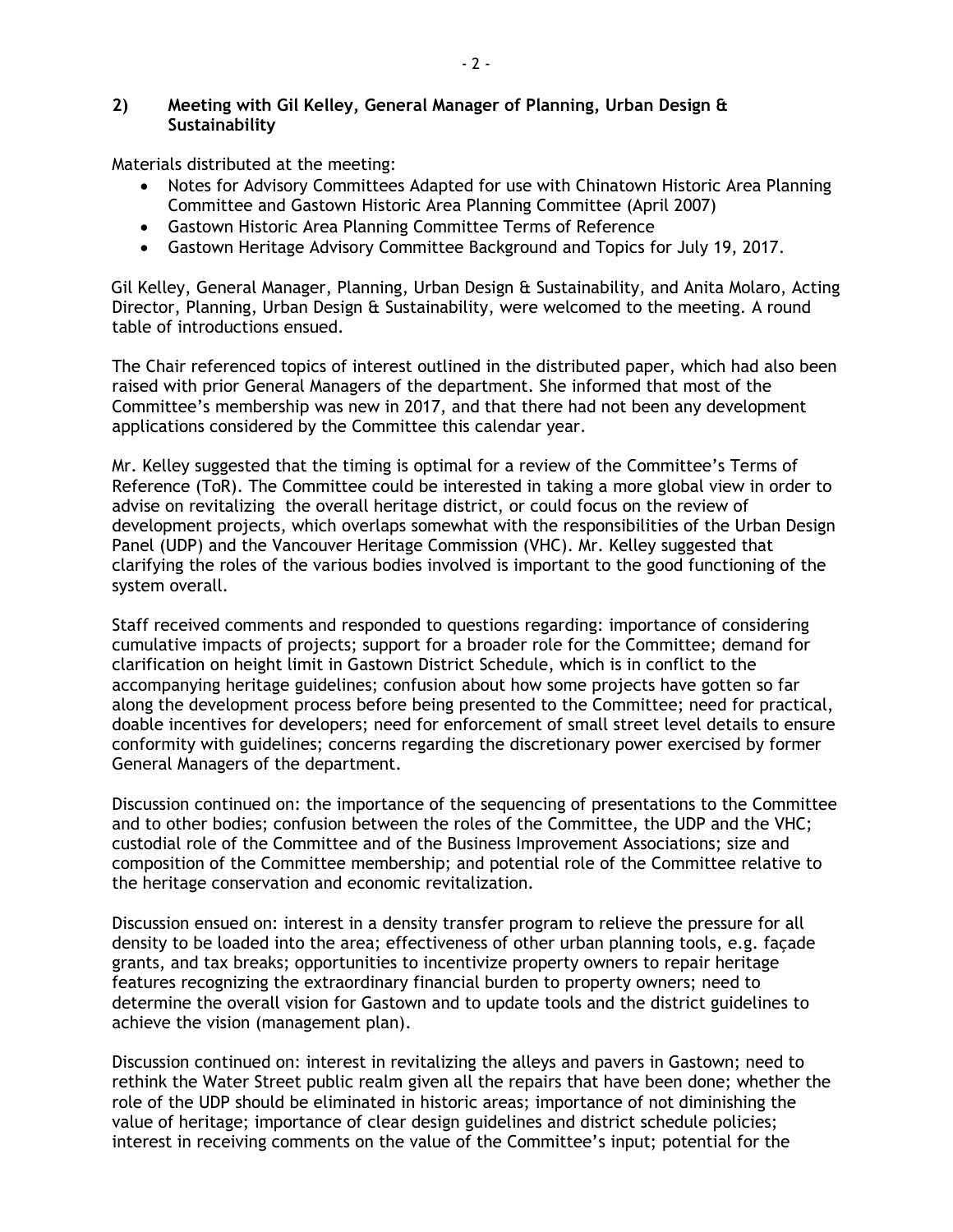# **2) Meeting with Gil Kelley, General Manager of Planning, Urban Design & Sustainability**

Materials distributed at the meeting:

- Notes for Advisory Committees Adapted for use with Chinatown Historic Area Planning Committee and Gastown Historic Area Planning Committee (April 2007)
- Gastown Historic Area Planning Committee Terms of Reference
- Gastown Heritage Advisory Committee Background and Topics for July 19, 2017.

Gil Kelley, General Manager, Planning, Urban Design & Sustainability, and Anita Molaro, Acting Director, Planning, Urban Design & Sustainability, were welcomed to the meeting. A round table of introductions ensued.

The Chair referenced topics of interest outlined in the distributed paper, which had also been raised with prior General Managers of the department. She informed that most of the Committee's membership was new in 2017, and that there had not been any development applications considered by the Committee this calendar year.

Mr. Kelley suggested that the timing is optimal for a review of the Committee's Terms of Reference (ToR). The Committee could be interested in taking a more global view in order to advise on revitalizing the overall heritage district, or could focus on the review of development projects, which overlaps somewhat with the responsibilities of the Urban Design Panel (UDP) and the Vancouver Heritage Commission (VHC). Mr. Kelley suggested that clarifying the roles of the various bodies involved is important to the good functioning of the system overall.

Staff received comments and responded to questions regarding: importance of considering cumulative impacts of projects; support for a broader role for the Committee; demand for clarification on height limit in Gastown District Schedule, which is in conflict to the accompanying heritage guidelines; confusion about how some projects have gotten so far along the development process before being presented to the Committee; need for practical, doable incentives for developers; need for enforcement of small street level details to ensure conformity with guidelines; concerns regarding the discretionary power exercised by former General Managers of the department.

Discussion continued on: the importance of the sequencing of presentations to the Committee and to other bodies; confusion between the roles of the Committee, the UDP and the VHC; custodial role of the Committee and of the Business Improvement Associations; size and composition of the Committee membership; and potential role of the Committee relative to the heritage conservation and economic revitalization.

Discussion ensued on: interest in a density transfer program to relieve the pressure for all density to be loaded into the area; effectiveness of other urban planning tools, e.g. façade grants, and tax breaks; opportunities to incentivize property owners to repair heritage features recognizing the extraordinary financial burden to property owners; need to determine the overall vision for Gastown and to update tools and the district guidelines to achieve the vision (management plan).

Discussion continued on: interest in revitalizing the alleys and pavers in Gastown; need to rethink the Water Street public realm given all the repairs that have been done; whether the role of the UDP should be eliminated in historic areas; importance of not diminishing the value of heritage; importance of clear design guidelines and district schedule policies; interest in receiving comments on the value of the Committee's input; potential for the